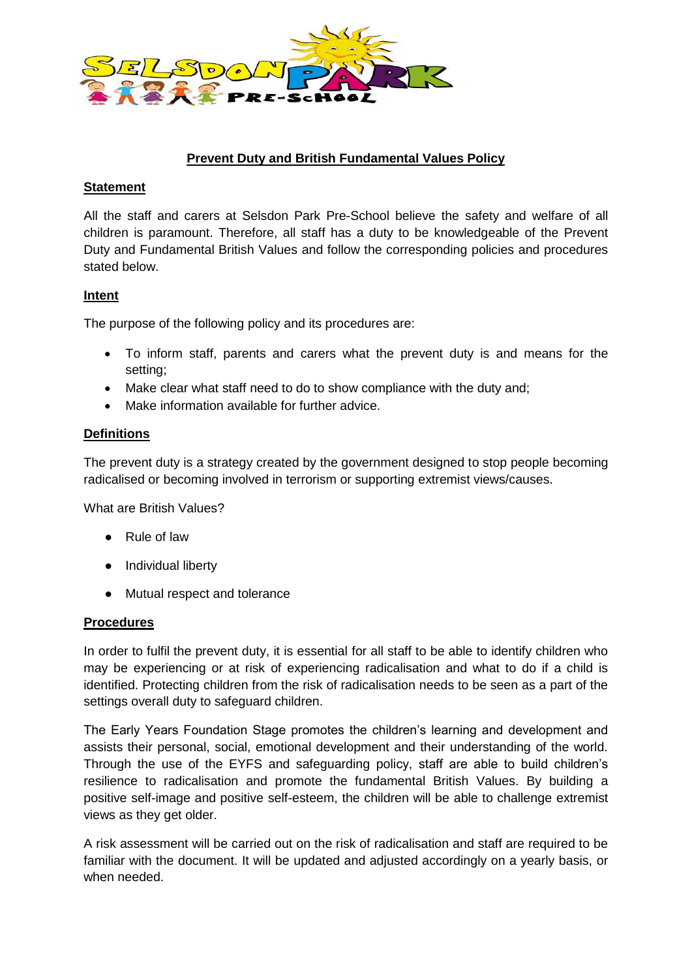

## **Prevent Duty and British Fundamental Values Policy**

### **Statement**

All the staff and carers at Selsdon Park Pre-School believe the safety and welfare of all children is paramount. Therefore, all staff has a duty to be knowledgeable of the Prevent Duty and Fundamental British Values and follow the corresponding policies and procedures stated below.

## **Intent**

The purpose of the following policy and its procedures are:

- To inform staff, parents and carers what the prevent duty is and means for the setting;
- Make clear what staff need to do to show compliance with the duty and;
- Make information available for further advice.

## **Definitions**

The prevent duty is a strategy created by the government designed to stop people becoming radicalised or becoming involved in terrorism or supporting extremist views/causes.

What are British Values?

- Rule of law
- Individual liberty
- Mutual respect and tolerance

#### **Procedures**

In order to fulfil the prevent duty, it is essential for all staff to be able to identify children who may be experiencing or at risk of experiencing radicalisation and what to do if a child is identified. Protecting children from the risk of radicalisation needs to be seen as a part of the settings overall duty to safeguard children.

The Early Years Foundation Stage promotes the children's learning and development and assists their personal, social, emotional development and their understanding of the world. Through the use of the EYFS and safeguarding policy, staff are able to build children's resilience to radicalisation and promote the fundamental British Values. By building a positive self-image and positive self-esteem, the children will be able to challenge extremist views as they get older.

A risk assessment will be carried out on the risk of radicalisation and staff are required to be familiar with the document. It will be updated and adjusted accordingly on a yearly basis, or when needed.